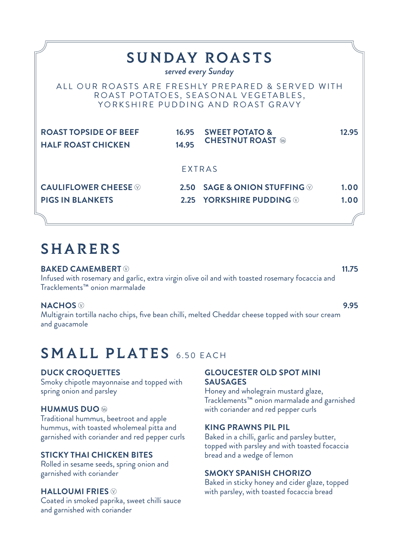|                                                           |       | <b>SUNDAY ROASTS</b><br>served every Sunday                                                                                    |       |
|-----------------------------------------------------------|-------|--------------------------------------------------------------------------------------------------------------------------------|-------|
|                                                           |       | ALL OUR ROASTS ARE FRESHLY PREPARED & SERVED WITH<br>ROAST POTATOES, SEASONAL VEGETABLES,<br>YORKSHIRE PUDDING AND ROAST GRAVY |       |
| <b>ROAST TOPSIDE OF BEEF</b><br><b>HALF ROAST CHICKEN</b> | 14.95 | 16.95 SWEET POTATO &<br><b>CHESTNUT ROAST</b>                                                                                  | 12.95 |
|                                                           |       | <b>EXTRAS</b>                                                                                                                  |       |
| <b>CAULIFLOWER CHEESE ®</b>                               |       | 2.50 SAGE & ONION STUFFING $\otimes$                                                                                           | 1.00  |
| <b>PIGS IN BLANKETS</b>                                   |       | 2.25 YORKSHIRE PUDDING $\circledcirc$                                                                                          | 1.00  |
|                                                           |       |                                                                                                                                |       |

## SHARERS

**BAKED CAMEMBERT**  $\heartsuit$  and the contract of the contract of the contract of the contract of the contract of the contract of the contract of the contract of the contract of the contract of the contract of the contract of t Infused with rosemary and garlic, extra virgin olive oil and with toasted rosemary focaccia and Tracklements™ onion marmalade

**NACHOS 9.95** Multigrain tortilla nacho chips, five bean chilli, melted Cheddar cheese topped with sour cream and guacamole

# SMALL PLATES 6.50 EACH

### **DUCK CROQUETTES**

Smoky chipotle mayonnaise and topped with spring onion and parsley

### **HUMMUS DUO**

Traditional hummus, beetroot and apple hummus, with toasted wholemeal pitta and garnished with coriander and red pepper curls

### **STICKY THAI CHICKEN BITES**

Rolled in sesame seeds, spring onion and garnished with coriander

### **HALLOUMI FRIES**

Coated in smoked paprika, sweet chilli sauce and garnished with coriander

### **GLOUCESTER OLD SPOT MINI SAUSAGES**

Honey and wholegrain mustard glaze, Tracklements™ onion marmalade and garnished with coriander and red pepper curls

### **KING PRAWNS PIL PIL**

Baked in a chilli, garlic and parsley butter, topped with parsley and with toasted focaccia bread and a wedge of lemon

### **SMOKY SPANISH CHORIZO**

Baked in sticky honey and cider glaze, topped with parsley, with toasted focaccia bread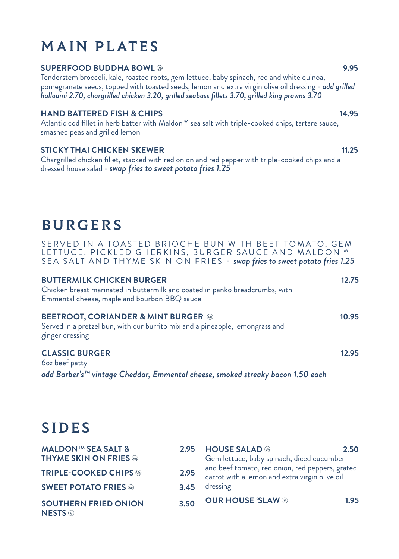# MAIN PLATES

### **SUPERFOOD BUDDHA BOWL ®**

Tenderstem broccoli, kale, roasted roots, gem lettuce, baby spinach, red and white quinoa, pomegranate seeds, topped with toasted seeds, lemon and extra virgin olive oil dressing - *add grilled halloumi 2.70, chargrilled chicken 3.20, grilled seabass fillets 3.70, grilled king prawns 3.70*

### **HAND BATTERED FISH & CHIPS 14.95**

Atlantic cod fillet in herb batter with Maldon™ sea salt with triple-cooked chips, tartare sauce, smashed peas and grilled lemon

### **STICKY THAI CHICKEN SKEWER 11.25**

Chargrilled chicken fillet, stacked with red onion and red pepper with triple-cooked chips and a dressed house salad - *swap fries to sweet potato fries 1.25*

# **BURGERS**

SERVED IN A TOASTED BRIOCHE BUN WITH BEEF TOMATO, GEM LETTUCE, PICKLED GHERKINS, BURGER SAUCE AND MALDON<sup>TM</sup> SEA SALT AND THYME SKIN ON FRIES - *swap fries to sweet potato fries 1.25*

| <b>BUTTERMILK CHICKEN BURGER</b><br>Chicken breast marinated in buttermilk and coated in panko breadcrumbs, with<br>Emmental cheese, maple and bourbon BBQ sauce | 12.75 |
|------------------------------------------------------------------------------------------------------------------------------------------------------------------|-------|
| <b>BEETROOT, CORIANDER &amp; MINT BURGER @</b><br>Served in a pretzel bun, with our burrito mix and a pineapple, lemongrass and<br>ginger dressing               | 10.95 |
| <b>CLASSIC BURGER</b><br><b>60z</b> beef patty<br>add Barber's™ vintage Cheddar, Emmental cheese, smoked streaky bacon 1.50 each                                 | 12.95 |

# SIDES

| <b>MALDON™ SEA SALT &amp;</b>                              | 2.95 | <b>HOUSE SALAD</b>                                                                                | 2.50 |  |
|------------------------------------------------------------|------|---------------------------------------------------------------------------------------------------|------|--|
| <b>THYME SKIN ON FRIES</b>                                 |      | Gem lettuce, baby spinach, diced cucumber                                                         |      |  |
| <b>TRIPLE-COOKED CHIPS ®</b>                               | 2.95 | and beef tomato, red onion, red peppers, grated<br>carrot with a lemon and extra virgin olive oil |      |  |
| <b>SWEET POTATO FRIES</b>                                  | 3.45 | dressing                                                                                          |      |  |
| <b>SOUTHERN FRIED ONION</b><br><b>NESTS</b> $\circledcirc$ | 3.50 | <b>OUR HOUSE 'SLAW MID</b>                                                                        | 1.95 |  |